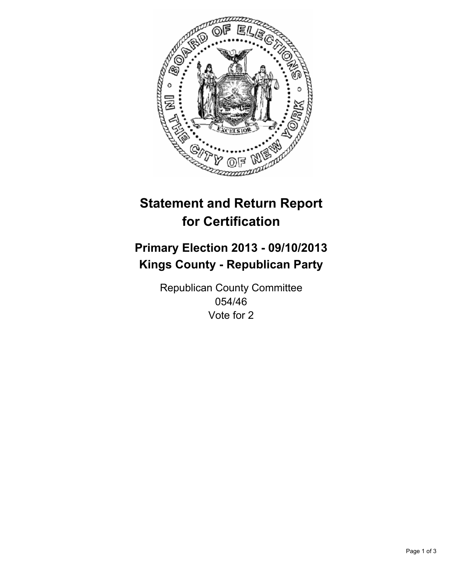

# **Statement and Return Report for Certification**

## **Primary Election 2013 - 09/10/2013 Kings County - Republican Party**

Republican County Committee 054/46 Vote for 2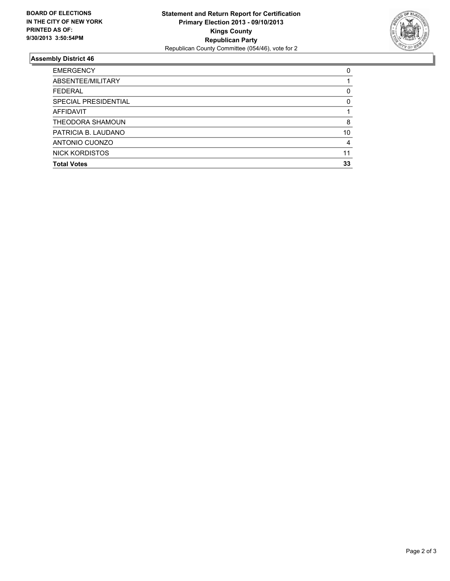

#### **Assembly District 46**

| 0        |
|----------|
|          |
| 0        |
| $\Omega$ |
|          |
| 8        |
| 10       |
| 4        |
| 11       |
| 33       |
|          |